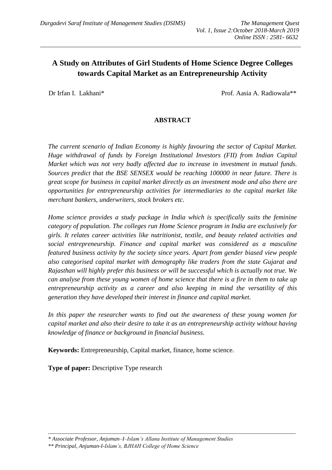# **A Study on Attributes of Girl Students of Home Science Degree Colleges towards Capital Market as an Entrepreneurship Activity**

*\_\_\_\_\_\_\_\_\_\_\_\_\_\_\_\_\_\_\_\_\_\_\_\_\_\_\_\_\_\_\_\_\_\_\_\_\_\_\_\_\_\_\_\_\_\_\_\_\_\_\_\_\_\_\_\_\_\_\_\_\_\_\_\_\_\_\_\_\_\_\_\_\_\_\_\_\_\_\_\_\_\_\_\_\_*

Dr Irfan I. Lakhani\* Prof. Aasia A. Radiowala\*\*

#### **ABSTRACT**

*The current scenario of Indian Economy is highly favouring the sector of Capital Market. Huge withdrawal of funds by Foreign Institutional Investors (FII) from Indian Capital Market which was not very badly affected due to increase in investment in mutual funds. Sources predict that the BSE SENSEX would be reaching 100000 in near future. There is great scope for business in capital market directly as an investment mode and also there are opportunities for entrepreneurship activities for intermediaries to the capital market like merchant bankers, underwriters, stock brokers etc.*

*Home science provides a study package in India which is specifically suits the feminine category of population. The colleges run Home Science program in India are exclusively for girls. It relates career activities like nutritionist, textile, and beauty related activities and social entrepreneurship. Finance and capital market was considered as a masculine featured business activity by the society since years. Apart from gender biased view people also categorised capital market with demography like traders from the state Gujarat and Rajasthan will highly prefer this business or will be successful which is actually not true. We can analyse from these young women of home science that there is a fire in them to take up entrepreneurship activity as a career and also keeping in mind the versatility of this generation they have developed their interest in finance and capital market.* 

*In this paper the researcher wants to find out the awareness of these young women for capital market and also their desire to take it as an entrepreneurship activity without having knowledge of finance or background in financial business.* 

*\_\_\_\_\_\_\_\_\_\_\_\_\_\_\_\_\_\_\_\_\_\_\_\_\_\_\_\_\_\_\_\_\_\_\_\_\_\_\_\_\_\_\_\_\_\_\_\_\_\_\_\_\_\_\_\_\_\_\_\_\_\_\_\_\_\_\_\_\_\_\_\_\_\_\_\_\_\_\_\_\_\_\_\_\_\_\_\_\_*

**Keywords:** Entrepreneurship, Capital market, finance, home science.

**Type of paper:** Descriptive Type research

*\*\* Principal, Anjuman-I-Islam's, BJHAH College of Home Science*

*<sup>\*</sup> Associate Professor, Anjuman–I–Islam's Allana Institute of Management Studies*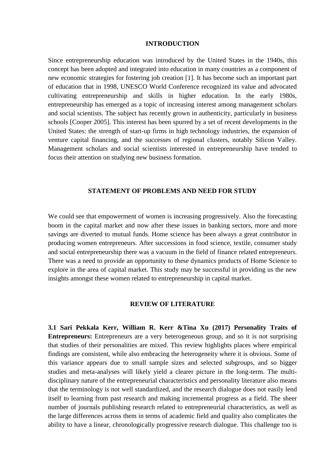#### **INTRODUCTION**

Since entrepreneurship education was introduced by the United States in the 1940s, this concept has been adopted and integrated into education in many countries as a component of new economic strategies for fostering job creation [1]. It has become such an important part of education that in 1998, UNESCO World Conference recognized its value and advocated cultivating entrepreneurship and skills in higher education. In the early 1980s, entrepreneurship has emerged as a topic of increasing interest among management scholars and social scientists. The subject has recently grown in authenticity, particularly in business schools [Cooper 2005]. This interest has been spurred by a set of recent developments in the United States: the strength of start-up firms in high technology industries, the expansion of venture capital financing, and the successes of regional clusters, notably Silicon Valley. Management scholars and social scientists interested in entrepreneurship have tended to focus their attention on studying new business formation.

#### **STATEMENT OF PROBLEMS AND NEED FOR STUDY**

We could see that empowerment of women is increasing progressively. Also the forecasting boom in the capital market and now after these issues in banking sectors, more and more savings are diverted to mutual funds. Home science has been always a great contributor in producing women entrepreneurs. After successions in food science, textile, consumer study and social entrepreneurship there was a vacuum in the field of finance related entrepreneurs. There was a need to provide an opportunity to these dynamics products of Home Science to explore in the area of capital market. This study may be successful in providing us the new insights amongst these women related to entrepreneurship in capital market.

#### **REVIEW OF LITERATURE**

**3.1 Sari Pekkala Kerr, William R. Kerr &Tina Xu (2017) Personality Traits of Entrepreneurs:** Entrepreneurs are a very heterogeneous group, and so it is not surprising that studies of their personalities are mixed. This review highlights places where empirical findings are consistent, while also embracing the heterogeneity where it is obvious. Some of this variance appears due to small sample sizes and selected subgroups, and so bigger studies and meta-analyses will likely yield a clearer picture in the long-term. The multidisciplinary nature of the entrepreneurial characteristics and personality literature also means that the terminology is not well standardized, and the research dialogue does not easily lend itself to learning from past research and making incremental progress as a field. The sheer number of journals publishing research related to entrepreneurial characteristics, as well as the large differences across them in terms of academic field and quality also complicates the ability to have a linear, chronologically progressive research dialogue. This challenge too is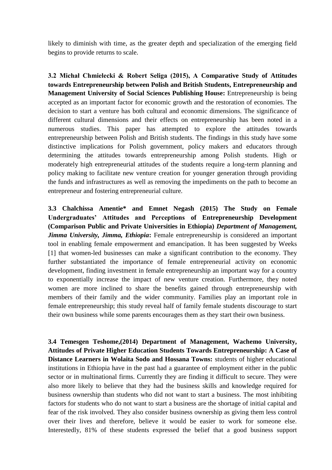likely to diminish with time, as the greater depth and specialization of the emerging field begins to provide returns to scale.

**3.2 Michał Chmielecki & Robert Seliga (2015), A Comparative Study of Attitudes towards Entrepreneurship between Polish and British Students, Entrepreneurship and Management University of Social Sciences Publishing House:** Entrepreneurship is being accepted as an important factor for economic growth and the restoration of economies. The decision to start a venture has both cultural and economic dimensions. The significance of different cultural dimensions and their effects on entrepreneurship has been noted in a numerous studies. This paper has attempted to explore the attitudes towards entrepreneurship between Polish and British students. The findings in this study have some distinctive implications for Polish government, policy makers and educators through determining the attitudes towards entrepreneurship among Polish students. High or moderately high entrepreneurial attitudes of the students require a long-term planning and policy making to facilitate new venture creation for younger generation through providing the funds and infrastructures as well as removing the impediments on the path to become an entrepreneur and fostering entrepreneurial culture.

**3.3 Chalchissa Amentie\* and Emnet Negash (2015) The Study on Female Undergraduates' Attitudes and Perceptions of Entrepreneurship Development (Comparison Public and Private Universities in Ethiopia)** *Department of Management, Jimma University, Jimma, Ethiopia*: Female entrepreneurship is considered an important tool in enabling female empowerment and emancipation. It has been suggested by Weeks [1] that women-led businesses can make a significant contribution to the economy. They further substantiated the importance of female entrepreneurial activity on economic development, finding investment in female entrepreneurship an important way for a country to exponentially increase the impact of new venture creation. Furthermore, they noted women are more inclined to share the benefits gained through entrepreneurship with members of their family and the wider community. Families play an important role in female entrepreneurship; this study reveal half of family female students discourage to start their own business while some parents encourages them as they start their own business.

**3.4 Temesgen Teshome,(2014) Department of Management, Wachemo University, Attitudes of Private Higher Education Students Towards Entrepreneurship: A Case of Distance Learners in Wolaita Sodo and Hossana Towns:** students of higher educational institutions in Ethiopia have in the past had a guarantee of employment either in the public sector or in multinational firms. Currently they are finding it difficult to secure. They were also more likely to believe that they had the business skills and knowledge required for business ownership than students who did not want to start a business. The most inhibiting factors for students who do not want to start a business are the shortage of initial capital and fear of the risk involved. They also consider business ownership as giving them less control over their lives and therefore, believe it would be easier to work for someone else. Interestedly, 81% of these students expressed the belief that a good business support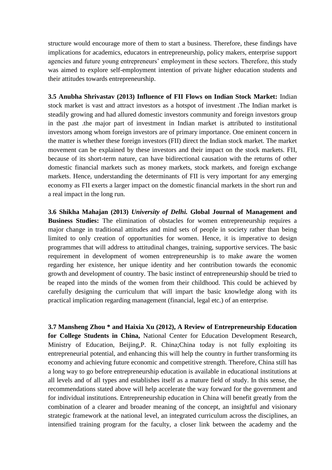structure would encourage more of them to start a business. Therefore, these findings have implications for academics, educators in entrepreneurship, policy makers, enterprise support agencies and future young entrepreneurs' employment in these sectors. Therefore, this study was aimed to explore self-employment intention of private higher education students and their attitudes towards entrepreneurship.

**3.5 Anubha Shrivastav (2013) Influence of FII Flows on Indian Stock Market:** Indian stock market is vast and attract investors as a hotspot of investment .The Indian market is steadily growing and had allured domestic investors community and foreign investors group in the past .the major part of investment in Indian market is attributed to institutional investors among whom foreign investors are of primary importance. One eminent concern in the matter is whether these foreign investors (FII) direct the Indian stock market. The market movement can be explained by these investors and their impact on the stock markets. FII, because of its short-term nature, can have bidirectional causation with the returns of other domestic financial markets such as money markets, stock markets, and foreign exchange markets. Hence, understanding the determinants of FII is very important for any emerging economy as FII exerts a larger impact on the domestic financial markets in the short run and a real impact in the long run.

**3.6 Shikha Mahajan (2013)** *University of Delhi.* **Global Journal of Management and Business Studies:** The elimination of obstacles for women entrepreneurship requires a major change in traditional attitudes and mind sets of people in society rather than being limited to only creation of opportunities for women. Hence, it is imperative to design programmes that will address to attitudinal changes, training, supportive services. The basic requirement in development of women entrepreneurship is to make aware the women regarding her existence, her unique identity and her contribution towards the economic growth and development of country. The basic instinct of entrepreneurship should be tried to be reaped into the minds of the women from their childhood. This could be achieved by carefully designing the curriculum that will impart the basic knowledge along with its practical implication regarding management (financial, legal etc.) of an enterprise.

**3.7 Mansheng Zhou \* and Haixia Xu (2012), A Review of Entrepreneurship Education for College Students in China,** National Center for Education Development Research, Ministry of Education, Beijing,P. R. China;China today is not fully exploiting its entrepreneurial potential, and enhancing this will help the country in further transforming its economy and achieving future economic and competitive strength. Therefore, China still has a long way to go before entrepreneurship education is available in educational institutions at all levels and of all types and establishes itself as a mature field of study. In this sense, the recommendations stated above will help accelerate the way forward for the government and for individual institutions. Entrepreneurship education in China will benefit greatly from the combination of a clearer and broader meaning of the concept, an insightful and visionary strategic framework at the national level, an integrated curriculum across the disciplines, an intensified training program for the faculty, a closer link between the academy and the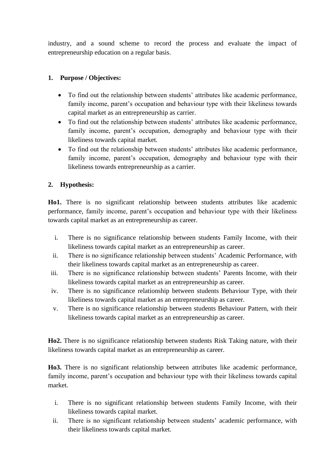industry, and a sound scheme to record the process and evaluate the impact of entrepreneurship education on a regular basis.

## **1. Purpose / Objectives:**

- To find out the relationship between students' attributes like academic performance, family income, parent's occupation and behaviour type with their likeliness towards capital market as an entrepreneurship as carrier.
- To find out the relationship between students' attributes like academic performance, family income, parent's occupation, demography and behaviour type with their likeliness towards capital market.
- To find out the relationship between students' attributes like academic performance, family income, parent's occupation, demography and behaviour type with their likeliness towards entrepreneurship as a carrier.

## **2. Hypothesis:**

**Ho1.** There is no significant relationship between students attributes like academic performance, family income, parent's occupation and behaviour type with their likeliness towards capital market as an entrepreneurship as career.

- i. There is no significance relationship between students Family Income, with their likeliness towards capital market as an entrepreneurship as career.
- ii. There is no significance relationship between students' Academic Performance, with their likeliness towards capital market as an entrepreneurship as career.
- iii. There is no significance relationship between students' Parents Income, with their likeliness towards capital market as an entrepreneurship as career.
- iv. There is no significance relationship between students Behaviour Type, with their likeliness towards capital market as an entrepreneurship as career.
- v. There is no significance relationship between students Behaviour Pattern, with their likeliness towards capital market as an entrepreneurship as career.

**Ho2.** There is no significance relationship between students Risk Taking nature, with their likeliness towards capital market as an entrepreneurship as career.

**Ho3.** There is no significant relationship between attributes like academic performance, family income, parent's occupation and behaviour type with their likeliness towards capital market.

- i. There is no significant relationship between students Family Income, with their likeliness towards capital market.
- ii. There is no significant relationship between students' academic performance, with their likeliness towards capital market.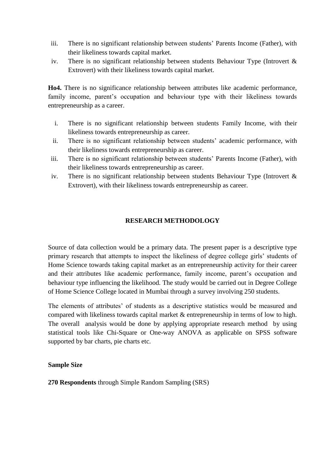- iii. There is no significant relationship between students' Parents Income (Father), with their likeliness towards capital market.
- iv. There is no significant relationship between students Behaviour Type (Introvert & Extrovert) with their likeliness towards capital market.

**Ho4.** There is no significance relationship between attributes like academic performance, family income, parent's occupation and behaviour type with their likeliness towards entrepreneurship as a career.

- i. There is no significant relationship between students Family Income, with their likeliness towards entrepreneurship as career.
- ii. There is no significant relationship between students' academic performance, with their likeliness towards entrepreneurship as career.
- iii. There is no significant relationship between students' Parents Income (Father), with their likeliness towards entrepreneurship as career.
- iv. There is no significant relationship between students Behaviour Type (Introvert & Extrovert), with their likeliness towards entrepreneurship as career.

## **RESEARCH METHODOLOGY**

Source of data collection would be a primary data. The present paper is a descriptive type primary research that attempts to inspect the likeliness of degree college girls' students of Home Science towards taking capital market as an entrepreneurship activity for their career and their attributes like academic performance, family income, parent's occupation and behaviour type influencing the likelihood. The study would be carried out in Degree College of Home Science College located in Mumbai through a survey involving 250 students.

The elements of attributes' of students as a descriptive statistics would be measured and compared with likeliness towards capital market & entrepreneurship in terms of low to high. The overall analysis would be done by applying appropriate research method by using statistical tools like Chi-Square or One-way ANOVA as applicable on SPSS software supported by bar charts, pie charts etc.

#### **Sample Size**

**270 Respondents** through Simple Random Sampling (SRS)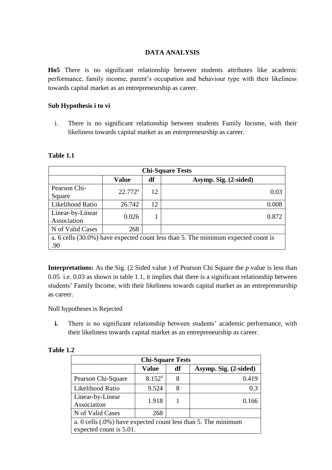### **DATA ANALYSIS**

**Ho5** There is no significant relationship between students attributes like academic performance, family income, parent's occupation and behaviour type with their likeliness towards capital market as an entrepreneurship as career.

#### **Sub Hypothesis i to vi**

i. There is no significant relationship between students Family Income, with their likeliness towards capital market as an entrepreneurship as career.

| <b>Chi-Square Tests</b>         |              |    |                                                                                   |  |  |  |
|---------------------------------|--------------|----|-----------------------------------------------------------------------------------|--|--|--|
|                                 | <b>Value</b> | df | Asymp. Sig. (2-sided)                                                             |  |  |  |
| Pearson Chi-<br>Square          | $22.772^a$   | 12 | 0.03                                                                              |  |  |  |
| Likelihood Ratio                | 26.742       | 12 | 0.008                                                                             |  |  |  |
| Linear-by-Linear<br>Association | 0.026        | 1  | 0.872                                                                             |  |  |  |
| N of Valid Cases                | 268          |    |                                                                                   |  |  |  |
| .90                             |              |    | a. 6 cells (30.0%) have expected count less than 5. The minimum expected count is |  |  |  |

#### **Table 1.1**

**Interpretations:** As the Sig. (2 Sided value ) of Pearson Chi Square the *p* value is less than 0.05 i.e. 0.03 as shown in table 1.1, it implies that there is a significant relationship between students' Family Income, with their likeliness towards capital market as an entrepreneurship as career.

Null hypotheses is Rejected

**i.** There is no significant relationship between students' academic performance, with their likeliness towards capital market as an entrepreneurship as career.

| <b>Chi-Square Tests</b>                                                                  |                 |    |                       |  |  |  |
|------------------------------------------------------------------------------------------|-----------------|----|-----------------------|--|--|--|
|                                                                                          | <b>Value</b>    | df | Asymp. Sig. (2-sided) |  |  |  |
| Pearson Chi-Square                                                                       | $8.152^{\rm a}$ | 8  | 0.419                 |  |  |  |
| Likelihood Ratio                                                                         | 9.524           | 8  | 0.3                   |  |  |  |
| Linear-by-Linear<br>Association                                                          | 1.918           |    | 0.166                 |  |  |  |
| N of Valid Cases                                                                         | 268             |    |                       |  |  |  |
| a. 0 cells (.0%) have expected count less than 5. The minimum<br>expected count is 5.01. |                 |    |                       |  |  |  |

### **Table 1.2**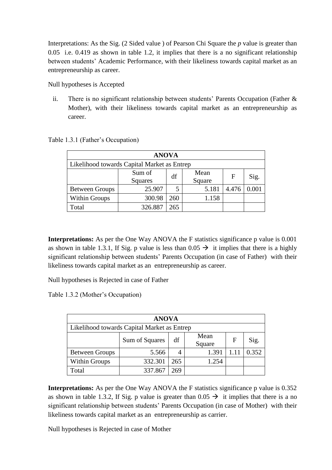Interpretations: As the Sig. (2 Sided value ) of Pearson Chi Square the *p* value is greater than 0.05 i.e. 0.419 as shown in table 1.2, it implies that there is a no significant relationship between students' Academic Performance, with their likeliness towards capital market as an entrepreneurship as career.

Null hypotheses is Accepted

ii. There is no significant relationship between students' Parents Occupation (Father & Mother), with their likeliness towards capital market as an entrepreneurship as career.

| <b>ANOVA</b>                                |         |     |            |             |       |  |  |  |
|---------------------------------------------|---------|-----|------------|-------------|-------|--|--|--|
| Likelihood towards Capital Market as Entrep |         |     |            |             |       |  |  |  |
|                                             | Sum of  |     | Mean<br>df |             |       |  |  |  |
|                                             | Squares |     | Square     | $\mathbf F$ | Sig.  |  |  |  |
| <b>Between Groups</b>                       | 25.907  | 5   | 5.181      | 4.476       | 0.001 |  |  |  |
| Within Groups                               | 300.98  | 260 | 1.158      |             |       |  |  |  |
| Total                                       | 326.887 | 265 |            |             |       |  |  |  |

Table 1.3.1 (Father's Occupation)

**Interpretations:** As per the One Way ANOVA the F statistics significance p value is 0.001 as shown in table 1.3.1, If Sig. p value is less than  $0.05 \rightarrow$  it implies that there is a highly significant relationship between students' Parents Occupation (in case of Father) with their likeliness towards capital market as an entrepreneurship as career.

Null hypotheses is Rejected in case of Father

Table 1.3.2 (Mother's Occupation)

| <b>ANOVA</b>                                                  |         |     |       |  |       |  |  |  |
|---------------------------------------------------------------|---------|-----|-------|--|-------|--|--|--|
| Likelihood towards Capital Market as Entrep                   |         |     |       |  |       |  |  |  |
| Mean<br>df<br>Sum of Squares<br>$\mathbf F$<br>Sig.<br>Square |         |     |       |  |       |  |  |  |
| <b>Between Groups</b>                                         | 5.566   | 4   | 1.391 |  | 0.352 |  |  |  |
| <b>Within Groups</b>                                          | 332.301 | 265 | 1.254 |  |       |  |  |  |
| Total                                                         | 337.867 | 269 |       |  |       |  |  |  |

**Interpretations:** As per the One Way ANOVA the F statistics significance p value is 0.352 as shown in table 1.3.2, If Sig. p value is greater than  $0.05 \rightarrow$  it implies that there is a no significant relationship between students' Parents Occupation (in case of Mother) with their likeliness towards capital market as an entrepreneurship as carrier.

Null hypotheses is Rejected in case of Mother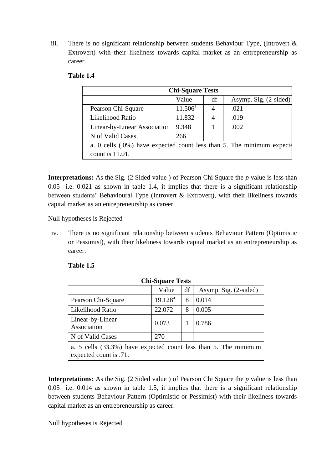iii. There is no significant relationship between students Behaviour Type, (Introvert  $\&$ Extrovert) with their likeliness towards capital market as an entrepreneurship as career.

| <b>Chi-Square Tests</b>                                                                      |            |    |                             |  |  |  |
|----------------------------------------------------------------------------------------------|------------|----|-----------------------------|--|--|--|
|                                                                                              | Value      | df | Asymp. Sig. $(2\t{-sided})$ |  |  |  |
| Pearson Chi-Square                                                                           | $11.506^a$ |    | .021                        |  |  |  |
| Likelihood Ratio                                                                             | 11.832     |    | .019                        |  |  |  |
| Linear-by-Linear Association                                                                 | 9.348      |    | .002                        |  |  |  |
| N of Valid Cases                                                                             | 266        |    |                             |  |  |  |
| a. 0 cells (.0%) have expected count less than 5. The minimum expected<br>count is $11.01$ . |            |    |                             |  |  |  |

### **Table 1.4**

**Interpretations:** As the Sig. (2 Sided value ) of Pearson Chi Square the *p* value is less than 0.05 i.e. 0.021 as shown in table 1.4, it implies that there is a significant relationship between students' Behavioural Type (Introvert & Extrovert), with their likeliness towards capital market as an entrepreneurship as career.

Null hypotheses is Rejected

iv. There is no significant relationship between students Behaviour Pattern (Optimistic or Pessimist), with their likeliness towards capital market as an entrepreneurship as career.

| <b>Chi-Square Tests</b>                                                                   |            |    |                       |  |  |  |
|-------------------------------------------------------------------------------------------|------------|----|-----------------------|--|--|--|
|                                                                                           | Value      | df | Asymp. Sig. (2-sided) |  |  |  |
| Pearson Chi-Square                                                                        | $19.128^a$ | 8  | 0.014                 |  |  |  |
| Likelihood Ratio                                                                          | 22.072     | 8  | 0.005                 |  |  |  |
| Linear-by-Linear<br>Association                                                           | 0.073      |    | 0.786                 |  |  |  |
| N of Valid Cases                                                                          | 270        |    |                       |  |  |  |
| a. 5 cells (33.3%) have expected count less than 5. The minimum<br>expected count is .71. |            |    |                       |  |  |  |

### **Table 1.5**

**Interpretations:** As the Sig. (2 Sided value ) of Pearson Chi Square the *p* value is less than 0.05 i.e. 0.014 as shown in table 1.5, it implies that there is a significant relationship between students Behaviour Pattern (Optimistic or Pessimist) with their likeliness towards capital market as an entrepreneurship as career.

Null hypotheses is Rejected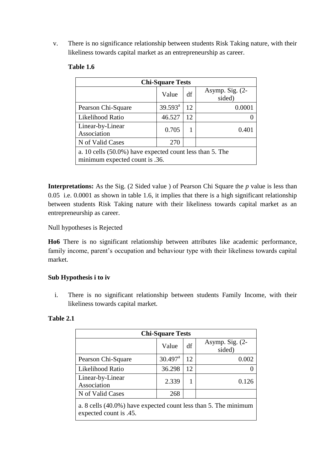v. There is no significance relationship between students Risk Taking nature, with their likeliness towards capital market as an entrepreneurship as career.

| <b>Chi-Square Tests</b>                                                                    |                     |    |                           |  |  |
|--------------------------------------------------------------------------------------------|---------------------|----|---------------------------|--|--|
|                                                                                            | Value               | df | Asymp. Sig. (2-<br>sided) |  |  |
| Pearson Chi-Square                                                                         | $39.593^{\text{a}}$ | 12 | 0.0001                    |  |  |
| Likelihood Ratio                                                                           | 46.527              | 12 |                           |  |  |
| Linear-by-Linear<br>Association                                                            | 0.705               | 1  | 0.401                     |  |  |
| N of Valid Cases                                                                           | 270                 |    |                           |  |  |
| a. 10 cells (50.0%) have expected count less than 5. The<br>minimum expected count is .36. |                     |    |                           |  |  |

## **Table 1.6**

**Interpretations:** As the Sig. (2 Sided value ) of Pearson Chi Square the *p* value is less than 0.05 i.e. 0.0001 as shown in table 1.6, it implies that there is a high significant relationship between students Risk Taking nature with their likeliness towards capital market as an entrepreneurship as career.

## Null hypotheses is Rejected

**Ho6** There is no significant relationship between attributes like academic performance, family income, parent's occupation and behaviour type with their likeliness towards capital market.

## **Sub Hypothesis i to iv**

i. There is no significant relationship between students Family Income, with their likeliness towards capital market.

| <b>Table 2.1</b> |  |
|------------------|--|
|                  |  |

| <b>Chi-Square Tests</b>                                                                   |                       |    |                             |  |  |  |
|-------------------------------------------------------------------------------------------|-----------------------|----|-----------------------------|--|--|--|
|                                                                                           | Value                 | df | Asymp. Sig. $(2-$<br>sided) |  |  |  |
| Pearson Chi-Square                                                                        | $30.497$ <sup>a</sup> | 12 | 0.002                       |  |  |  |
| Likelihood Ratio                                                                          | 36.298                | 12 |                             |  |  |  |
| Linear-by-Linear<br>Association                                                           | 2.339                 |    | 0.126                       |  |  |  |
| N of Valid Cases                                                                          | 268                   |    |                             |  |  |  |
| a. 8 cells (40.0%) have expected count less than 5. The minimum<br>expected count is .45. |                       |    |                             |  |  |  |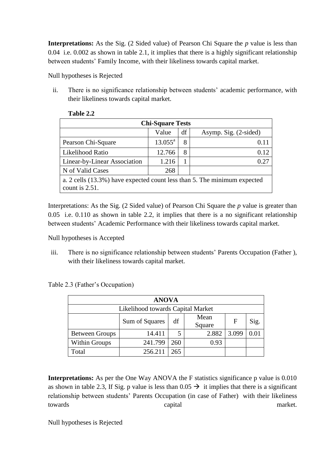**Interpretations:** As the Sig. (2 Sided value) of Pearson Chi Square the *p* value is less than 0.04 i.e. 0.002 as shown in table 2.1, it implies that there is a highly significant relationship between students' Family Income, with their likeliness towards capital market.

Null hypotheses is Rejected

ii. There is no significance relationship between students' academic performance, with their likeliness towards capital market.

| <b>Chi-Square Tests</b>                                                                       |                     |    |                       |  |  |
|-----------------------------------------------------------------------------------------------|---------------------|----|-----------------------|--|--|
|                                                                                               | Value               | df | Asymp. Sig. (2-sided) |  |  |
| Pearson Chi-Square                                                                            | $13.055^{\text{a}}$ | 8  | 0.11                  |  |  |
| Likelihood Ratio                                                                              | 12.766              | 8  | 0.12                  |  |  |
| Linear-by-Linear Association                                                                  | 1.216               |    | 0.27                  |  |  |
| N of Valid Cases                                                                              | 268                 |    |                       |  |  |
| a. 2 cells (13.3%) have expected count less than 5. The minimum expected<br>count is $2.51$ . |                     |    |                       |  |  |

| <b>Table 2.2</b> |  |
|------------------|--|
|                  |  |

Interpretations: As the Sig. (2 Sided value) of Pearson Chi Square the *p* value is greater than 0.05 i.e. 0.110 as shown in table 2.2, it implies that there is a no significant relationship between students' Academic Performance with their likeliness towards capital market.

Null hypotheses is Accepted

iii. There is no significance relationship between students' Parents Occupation (Father ), with their likeliness towards capital market.

Table 2.3 (Father's Occupation)

| <b>ANOVA</b>                                        |         |     |       |       |  |  |  |  |
|-----------------------------------------------------|---------|-----|-------|-------|--|--|--|--|
| Likelihood towards Capital Market                   |         |     |       |       |  |  |  |  |
| Mean<br>df<br>Sig.<br>Sum of Squares<br>F<br>Square |         |     |       |       |  |  |  |  |
| <b>Between Groups</b>                               | 14.411  | 5   | 2.882 | 3.099 |  |  |  |  |
| <b>Within Groups</b>                                | 241.799 | 260 | 0.93  |       |  |  |  |  |
| Total                                               | 256.211 | 265 |       |       |  |  |  |  |

**Interpretations:** As per the One Way ANOVA the F statistics significance p value is 0.010 as shown in table 2.3, If Sig. p value is less than  $0.05 \rightarrow$  it implies that there is a significant relationship between students' Parents Occupation (in case of Father) with their likeliness towards capital market.

Null hypotheses is Rejected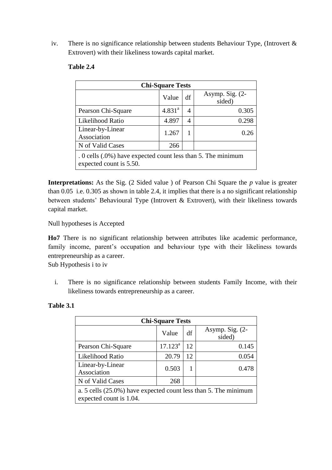iv. There is no significance relationship between students Behaviour Type, (Introvert  $\&$ Extrovert) with their likeliness towards capital market.

| <b>Chi-Square Tests</b>                                                                 |             |    |                           |  |
|-----------------------------------------------------------------------------------------|-------------|----|---------------------------|--|
|                                                                                         | Value       | df | Asymp. Sig. (2-<br>sided) |  |
| Pearson Chi-Square                                                                      | $4.831^{a}$ | 4  | 0.305                     |  |
| Likelihood Ratio                                                                        | 4.897       | 4  | 0.298                     |  |
| Linear-by-Linear<br>Association                                                         | 1.267       | 1  | 0.26                      |  |
| N of Valid Cases                                                                        | 266         |    |                           |  |
| . 0 cells (.0%) have expected count less than 5. The minimum<br>expected count is 5.50. |             |    |                           |  |

### **Table 2.4**

**Interpretations:** As the Sig. (2 Sided value ) of Pearson Chi Square the *p* value is greater than 0.05 i.e. 0.305 as shown in table 2.4, it implies that there is a no significant relationship between students' Behavioural Type (Introvert  $\&$  Extrovert), with their likeliness towards capital market.

Null hypotheses is Accepted

**Ho7** There is no significant relationship between attributes like academic performance, family income, parent's occupation and behaviour type with their likeliness towards entrepreneurship as a career.

Sub Hypothesis i to iv

i. There is no significance relationship between students Family Income, with their likeliness towards entrepreneurship as a career.

| <b>Chi-Square Tests</b>                                                                    |            |    |                             |  |
|--------------------------------------------------------------------------------------------|------------|----|-----------------------------|--|
|                                                                                            | Value      | df | Asymp. Sig. $(2-$<br>sided) |  |
| Pearson Chi-Square                                                                         | $17.123^a$ | 12 | 0.145                       |  |
| Likelihood Ratio                                                                           | 20.79      | 12 | 0.054                       |  |
| Linear-by-Linear<br>Association                                                            | 0.503      |    | 0.478                       |  |
| N of Valid Cases                                                                           | 268        |    |                             |  |
| a. 5 cells (25.0%) have expected count less than 5. The minimum<br>expected count is 1.04. |            |    |                             |  |

### **Table 3.1**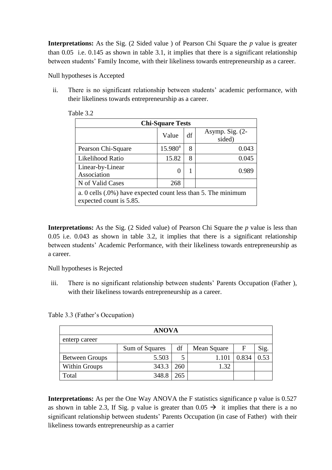**Interpretations:** As the Sig. (2 Sided value ) of Pearson Chi Square the *p* value is greater than 0.05 i.e. 0.145 as shown in table 3.1, it implies that there is a significant relationship between students' Family Income, with their likeliness towards entrepreneurship as a career.

Null hypotheses is Accepted

ii. There is no significant relationship between students' academic performance, with their likeliness towards entrepreneurship as a career.

| <b>Chi-Square Tests</b>                                                                     |               |    |                             |  |
|---------------------------------------------------------------------------------------------|---------------|----|-----------------------------|--|
|                                                                                             | Value         | df | Asymp. Sig. $(2-$<br>sided) |  |
| Pearson Chi-Square                                                                          | $15.980^a$    | 8  | 0.043                       |  |
| Likelihood Ratio                                                                            | 15.82         | 8  | 0.045                       |  |
| Linear-by-Linear<br>Association                                                             | $\mathcal{O}$ | 1  | 0.989                       |  |
| N of Valid Cases                                                                            | 268           |    |                             |  |
| a. 0 cells $(.0\%)$ have expected count less than 5. The minimum<br>expected count is 5.85. |               |    |                             |  |

Table 3.2

**Interpretations:** As the Sig. (2 Sided value) of Pearson Chi Square the *p* value is less than 0.05 i.e. 0.043 as shown in table 3.2, it implies that there is a significant relationship between students' Academic Performance, with their likeliness towards entrepreneurship as a career.

Null hypotheses is Rejected

iii. There is no significant relationship between students' Parents Occupation (Father ), with their likeliness towards entrepreneurship as a career.

Table 3.3 (Father's Occupation)

| <b>ANOVA</b>          |                |     |             |       |      |  |
|-----------------------|----------------|-----|-------------|-------|------|--|
| enterp career         |                |     |             |       |      |  |
|                       | Sum of Squares | df  | Mean Square | F     | Sig. |  |
| <b>Between Groups</b> | 5.503          |     | 1.101       | 0.834 | 0.53 |  |
| <b>Within Groups</b>  | 343.3          | 260 | 1.32        |       |      |  |
| Total                 | 348.8          | 265 |             |       |      |  |

**Interpretations:** As per the One Way ANOVA the F statistics significance p value is 0.527 as shown in table 2.3, If Sig. p value is greater than  $0.05 \rightarrow$  it implies that there is a no significant relationship between students' Parents Occupation (in case of Father) with their likeliness towards entrepreneurship as a carrier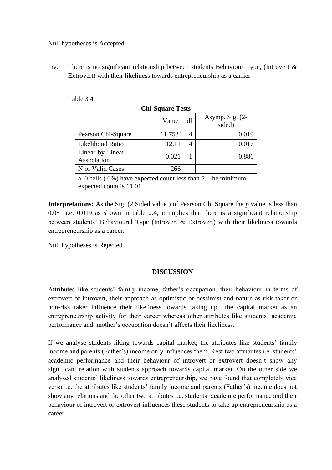Null hypotheses is Accepted

iv. There is no significant relationship between students Behaviour Type, (Introvert & Extrovert) with their likeliness towards entrepreneurship as a carrier

| <b>Chi-Square Tests</b>                                                                   |            |    |                             |  |
|-------------------------------------------------------------------------------------------|------------|----|-----------------------------|--|
|                                                                                           | Value      | df | Asymp. Sig. $(2-$<br>sided) |  |
| Pearson Chi-Square                                                                        | $11.753^a$ | 4  | 0.019                       |  |
| Likelihood Ratio                                                                          | 12.11      | 4  | 0.017                       |  |
| Linear-by-Linear<br>Association                                                           | 0.021      |    | 0.886                       |  |
| N of Valid Cases                                                                          | 266        |    |                             |  |
| a. 0 cells (.0%) have expected count less than 5. The minimum<br>expected count is 11.01. |            |    |                             |  |

Table 3.4

**Interpretations:** As the Sig. (2 Sided value ) of Pearson Chi Square the *p* value is less than 0.05 i.e. 0.019 as shown in table 2.4, it implies that there is a significant relationship between students' Behavioural Type (Introvert & Extrovert) with their likeliness towards entrepreneurship as a career.

Null hypotheses is Rejected

### **DISCUSSION**

Attributes like students' family income, father's occupation, their behaviour in terms of extrovert or introvert, their approach as optimistic or pessimist and nature as risk taker or non-risk taker influence their likeliness towards taking up the capital market as an entrepreneurship activity for their career whereas other attributes like students' academic performance and mother's occupation doesn't affects their likeliness.

If we analyse students liking towards capital market, the attributes like students' family income and parents (Father's) income only influences them. Rest two attributes i.e. students' academic performance and their behaviour of introvert or extrovert doesn't show any significant relation with students approach towards capital market. On the other side we analysed students' likeliness towards entrepreneurship, we have found that completely vice versa i.e. the attributes like students' family income and parents (Father's) income does not show any relations and the other two attributes i.e. students' academic performance and their behaviour of introvert or extrovert influences these students to take up entrepreneurship as a career.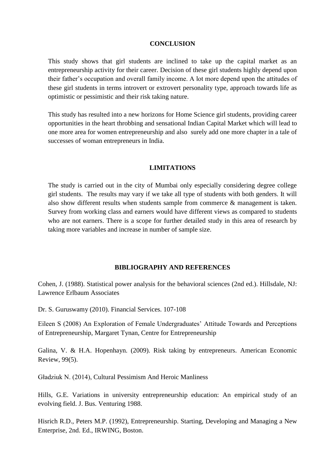#### **CONCLUSION**

This study shows that girl students are inclined to take up the capital market as an entrepreneurship activity for their career. Decision of these girl students highly depend upon their father's occupation and overall family income. A lot more depend upon the attitudes of these girl students in terms introvert or extrovert personality type, approach towards life as optimistic or pessimistic and their risk taking nature.

This study has resulted into a new horizons for Home Science girl students, providing career opportunities in the heart throbbing and sensational Indian Capital Market which will lead to one more area for women entrepreneurship and also surely add one more chapter in a tale of successes of woman entrepreneurs in India.

#### **LIMITATIONS**

The study is carried out in the city of Mumbai only especially considering degree college girl students. The results may vary if we take all type of students with both genders. It will also show different results when students sample from commerce & management is taken. Survey from working class and earners would have different views as compared to students who are not earners. There is a scope for further detailed study in this area of research by taking more variables and increase in number of sample size.

#### **BIBLIOGRAPHY AND REFERENCES**

Cohen, J. (1988). Statistical power analysis for the behavioral sciences (2nd ed.). Hillsdale, NJ: Lawrence Erlbaum Associates

Dr. S. Guruswamy (2010). Financial Services. 107-108

Eileen S (2008) An Exploration of Female Undergraduates' Attitude Towards and Perceptions of Entrepreneurship, Margaret Tynan, Centre for Entrepreneurship

Galina, V. & H.A. Hopenhayn. (2009). Risk taking by entrepreneurs. American Economic Review, 99(5).

Gładziuk N. (2014), Cultural Pessimism And Heroic Manliness

Hills, G.E. Variations in university entrepreneurship education: An empirical study of an evolving field. J. Bus. Venturing 1988.

Hisrich R.D., Peters M.P. (1992), Entrepreneurship. Starting, Developing and Managing a New Enterprise, 2nd. Ed., IRWING, Boston.